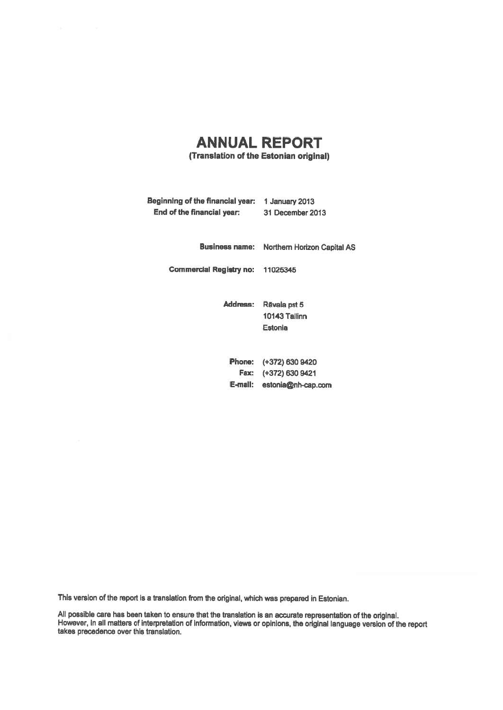# ANNUAL REPORT

(Translation of the Estonian original)

| Beginning of the financial year: 1 January 2013<br>End of the financial year: 31 December 2013 |                                                                              |
|------------------------------------------------------------------------------------------------|------------------------------------------------------------------------------|
| <b>Business name:</b>                                                                          | <b>Northern Horizon Capital AS</b>                                           |
| Commercial Registry no: 11025345                                                               |                                                                              |
|                                                                                                | Address: Rävala pst 5<br>10143 Tallinn<br><b>Estonia</b>                     |
|                                                                                                | Phone: (+372) 630 9420<br>Fax: (+372) 630 9421<br>E-mail: estonia@nh-cap.com |

This version of the report is a translation from the original, which was prepared in Estonian.

All possible care has been taken to ensure that the translation is an accurate representation of the original. However, in all mailers of interpretation of information, views or opinions, the original language version of the report takes precedence over this translation.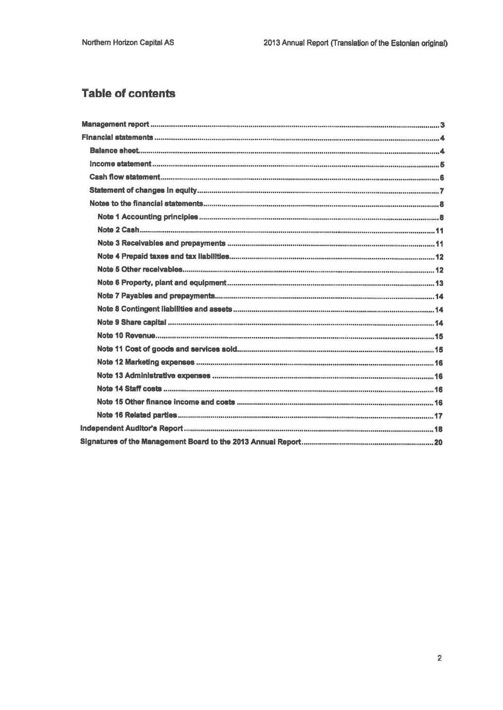# Table of contents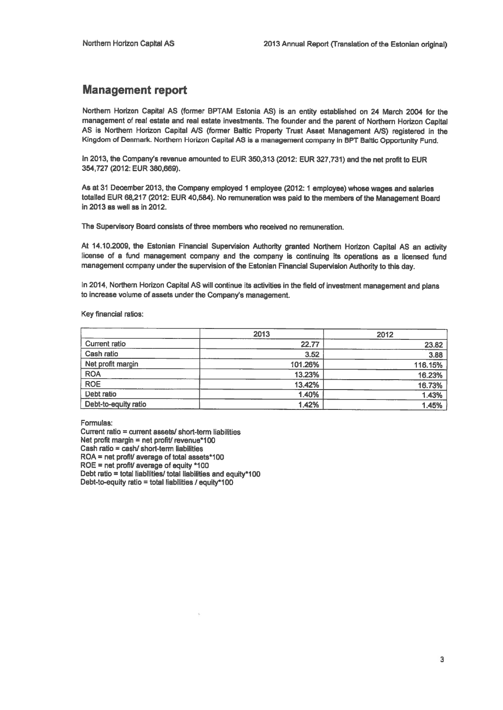### Management report

Northern Horizon Capital AS (former BPTAM Estonia AS) is an entity established on 24 March 2004 for the management of real estate and real estate investments. The founder and the parent of Northern Horizon Capital AS is Northern Horizon Capital A/S (former Baltic Property Trust Asset Management AIS) registered in the Kingdom of Denmark. Northern Horizon Capital AS is a management company in BPT Baltic Opportunity Fund.

In 2013, the Company's revenue amounted to EUR 350,313 (2012: EUR 327,731) and the net profit to EUR 354,727 (2012: EUR 380,669).

As at <sup>31</sup> December 2013, the Company employed I employee (2012: <sup>1</sup> employee) whose wages and salaries totalled EUR 68,217 (2012: EUR 40,584). No remuneration was paid to the members of the Management Board in 2013 as well as in 2012.

The Supervisory Board consists of three members who received no remuneration.

At 14.10.2009, the Estonian Financial Supervision Authority granted Northern Horizon Capital AS an activity license of a fund management company and the company is continuing its operations as a licensed fund management company under the supervision of the Estonian Financial Supervision Authority to this day.

In 2014, Northern Horizon Capital AS will continue its activities in the field of investment management and plans to increase volume of assets under the Company's management.

Key financial ratios:

|                      | 2013    | 2012    |  |
|----------------------|---------|---------|--|
| <b>Current ratio</b> | 22.77   | 23.82   |  |
| Cash ratio           | 3.52    | 3.88    |  |
| Net profit margin    | 101.26% | 116.15% |  |
| <b>ROA</b>           | 13.23%  | 16.23%  |  |
| <b>ROE</b>           | 13.42%  | 16.73%  |  |
| Debt ratio           | 1.40%   | 1.43%   |  |
| Debt-to-equity ratio | 1.42%   | 1.45%   |  |

Formulas:

Current ratio = current assets/ short-term liabilities Net profit margin = net profit/ revenue\*100 Cash ratio = cash/ short-term liabilities  $ROA = net profit$  average of total assets\*100  $ROE = net profit average of equity *100$ Debt ratio  $=$  total liabilities/ total liabilities and equity\*100 Debt-to-equity ratio = total liabilities  $\prime$  equity\*100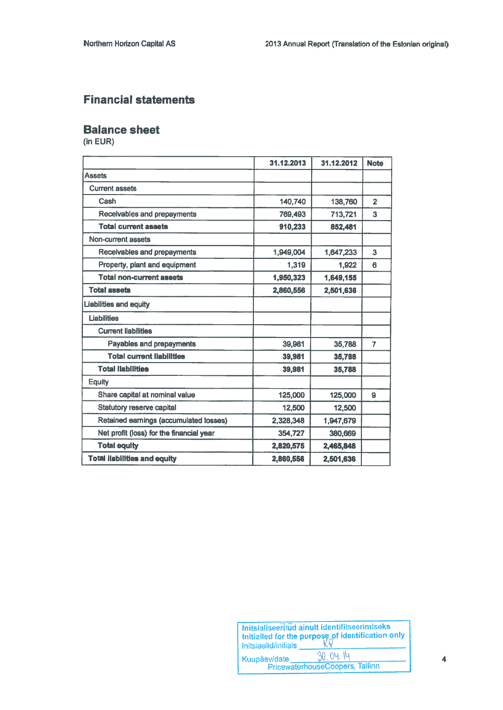# Financial statements

# Balance sheet

|                                          | 31.12.2013 | 31.12.2012 | <b>Note</b>    |
|------------------------------------------|------------|------------|----------------|
| <b>Assets</b>                            |            |            |                |
| <b>Current assets</b>                    |            |            |                |
| Cash                                     | 140,740    | 138,760    | $\overline{2}$ |
| Receivables and prepayments              | 769.493    | 713,721    | 3              |
| <b>Total current assets</b>              | 910,233    | 852,481    |                |
| Non-current assets                       |            |            |                |
| Receivables and prepayments              | 1,949,004  | 1,647,233  | 3              |
| Property, plant and equipment            | 1,319      | 1,922      | 6              |
| <b>Total non-current assets</b>          | 1,950,323  | 1,649,155  |                |
| <b>Total assets</b>                      | 2,860,556  | 2,501,636  |                |
| <b>Liabilities and equity</b>            |            |            |                |
| <b>Liabilities</b>                       |            |            |                |
| <b>Current liabilities</b>               |            |            |                |
| Payables and prepayments                 | 39,981     | 35,788     | $\overline{7}$ |
| <b>Total current liabilities</b>         | 39,981     | 35,788     |                |
| <b>Total liabilities</b>                 | 39,981     | 35,788     |                |
| <b>Equity</b>                            |            |            |                |
| Share capital at nominal value           | 125,000    | 125,000    | 9              |
| <b>Statutory reserve capital</b>         | 12,500     | 12,500     |                |
| Retained earnings (accumulated losses)   | 2,328,348  | 1,947,679  |                |
| Net profit (loss) for the financial year | 354,727    | 380,669    |                |
| <b>Total equity</b>                      | 2,820,575  | 2,465,848  |                |
| <b>Total liabilities and equity</b>      | 2,860,556  | 2,501,636  |                |

| Initsiaalid/initials | Initsialiseeritud ainult identifitseerimiseks<br>Initialled for the purpose of identification only |  |
|----------------------|----------------------------------------------------------------------------------------------------|--|
| Kuupäev/date         | 30 04 14                                                                                           |  |
|                      | PricewaterhouseCoopers, Tallinn                                                                    |  |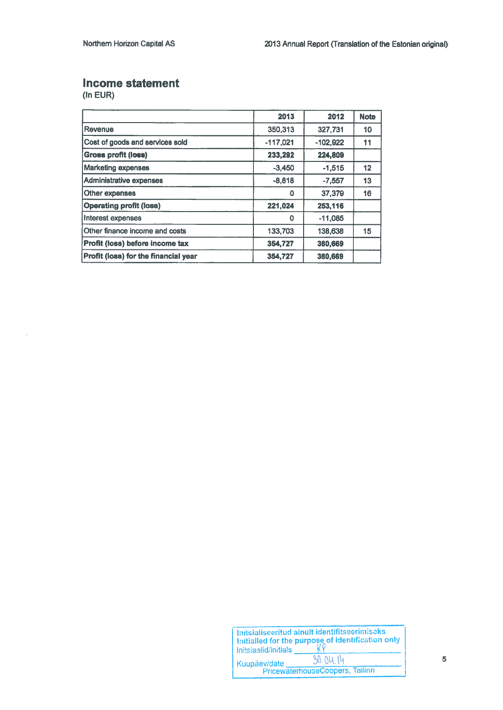# Income statement

(In EUR)

 $\tilde{\mathbf{E}}_{\mathbf{r}}$ 

|                                      | 2013       | 2012       | <b>Note</b>     |
|--------------------------------------|------------|------------|-----------------|
| Revenue                              | 350,313    | 327,731    | 10 <sup>°</sup> |
| Cost of goods and services sold      | $-117,021$ | $-102,922$ | 11              |
| Gross profit (loss)                  | 233,292    | 224,809    |                 |
| <b>Marketing expenses</b>            | $-3,450$   | $-1,515$   | $12 \,$         |
| Administrative expenses              | $-8,818$   | $-7,557$   | 13              |
| Other expenses                       | 0          | 37,379     | 16              |
| <b>Operating profit (loss)</b>       | 221,024    | 253,116    |                 |
| <b>Interest expenses</b>             | 0          | $-11,085$  |                 |
| Other finance income and costs       | 133,703    | 138,638    | 15              |
| Profit (loss) before income tax      | 354,727    | 380,669    |                 |
| Profit (loss) for the financial year | 354,727    | 380,669    |                 |

| Initsiaalid/initials | Initsialiseeritud ainult identifitseerimiseks<br>Initialled for the purpose of identification only |
|----------------------|----------------------------------------------------------------------------------------------------|
| Kuupäev/date         | 30.04 14<br>PricewaterhouseCoopers, Tallinn                                                        |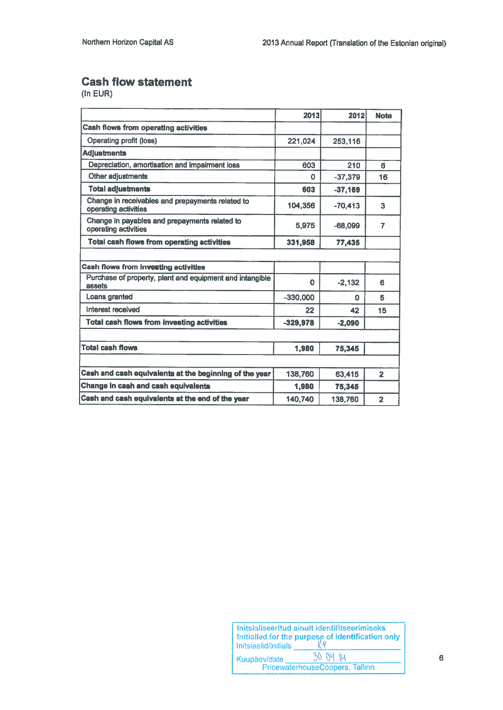# Cash flow statement

(In EUR)

|                                                                          | 2013       | 2012      | <b>Note</b>    |
|--------------------------------------------------------------------------|------------|-----------|----------------|
| <b>Cash flows from operating activities</b>                              |            |           |                |
| <b>Operating profit (loss)</b>                                           | 221.024    | 253,116   |                |
| <b>Adjustments</b>                                                       |            |           |                |
| Depreciation, amortisation and impairment loss                           | 603        | 210       | 6              |
| Other adiustments                                                        | $\Omega$   | $-37,379$ | 16             |
| <b>Total adjustments</b>                                                 | 603        | $-37,169$ |                |
| Change in receivables and prepayments related to<br>operating activities | 104,356    | $-70.413$ | 3              |
| Change in payables and prepayments related to<br>operating activities    | 5.975      | $-68.099$ | 7              |
| <b>Total cash flows from operating activities</b>                        | 331,958    | 77,435    |                |
|                                                                          |            |           |                |
| <b>Cash flows from investing activities</b>                              |            |           |                |
| Purchase of property, plant and equipment and intangible<br>assets       | 0          | $-2,132$  | 6              |
| Loans granted                                                            | $-330,000$ | O         | Б              |
| Interest received                                                        | 22         | 42        | 15             |
| <b>Total cash flows from investing activities</b>                        | $-329,978$ | $-2,090$  |                |
| <b>Total cash flows</b>                                                  | 1,980      | 75,345    |                |
|                                                                          |            |           |                |
| Cash and cash equivalents at the beginning of the year                   | 138,760    | 63,415    | $\overline{2}$ |
| Change in cash and cash equivalents                                      | 1.980      | 75,345    |                |
| Cash and cash equivalents at the end of the year                         | 140,740    | 138,760   | $\overline{2}$ |

| Initsiaalid/initials | Initsialiseeritud ainult identifitseerimiseks<br>Initialled for the purpose of identification only |
|----------------------|----------------------------------------------------------------------------------------------------|
| Kuupäev/date         | 30 M 14<br>PricewaterhouseCoopers, Tallinn                                                         |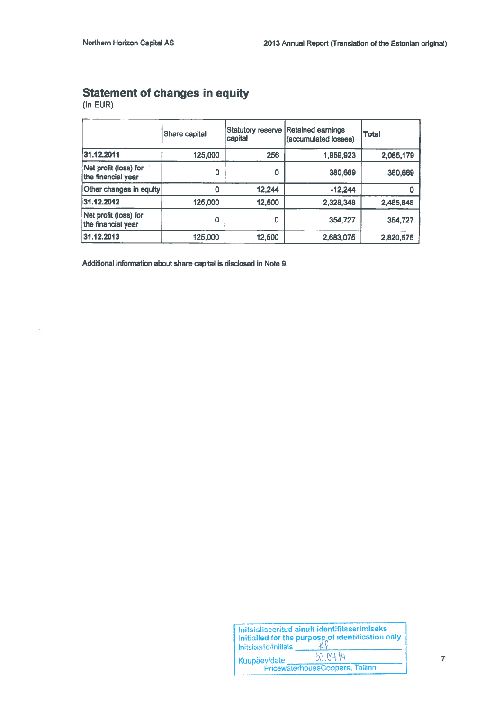# Statement of changes in equity

 $(In EUR)$ 

į,

|                                             | Share capital | <b>Statutory reserve</b><br>capital | Retained earnings<br>(accumulated losses) | <b>Total</b> |
|---------------------------------------------|---------------|-------------------------------------|-------------------------------------------|--------------|
| 31.12.2011                                  | 125,000       | 256                                 | 1,959,923                                 | 2,085,179    |
| Net profit (loss) for<br>the financial year | 0             | Ω                                   | 380,669                                   | 380,669      |
| Other changes in equity                     | ٥             | 12,244                              | $-12,244$                                 |              |
| 31.12.2012                                  | 125,000       | 12,500                              | 2,328,348                                 | 2,465,848    |
| Net profit (loss) for<br>the financial year | 0             |                                     | 354,727                                   | 354,727      |
| 31.12.2013                                  | 125,000       | 12,500                              | 2,683,075                                 | 2,820,575    |

Additional information about share capital is disclosed in Note 9.

| Initsiaalid/initials | Initsialiseeritud ainult identifitseerimiseks<br>Initialied for the purpose of identification only |
|----------------------|----------------------------------------------------------------------------------------------------|
| Kuupäev/date         | 30.04.14<br><b>FricewaterhouseCoopers, Tallinn</b>                                                 |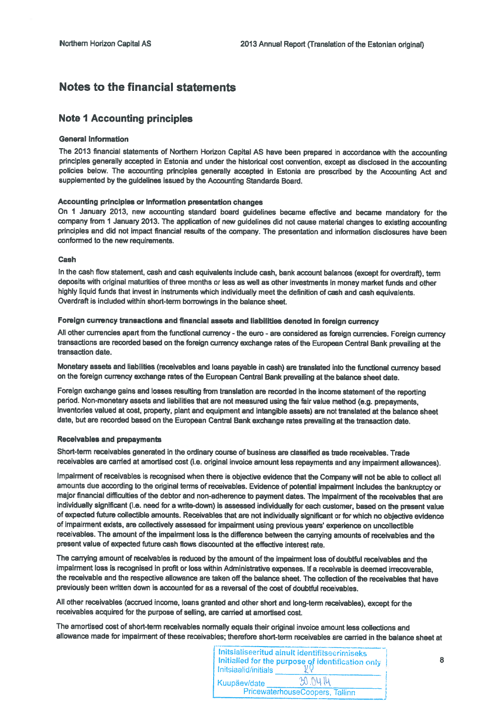## Notes to the financial statements

### Note I Accounting principles

#### General Information

The 2013 financial statements of Northern Horizon Capital AS have been prepared in accordance with the accounting principles generally accepted in Estonia and under the historical cost convention, except as disclosed in the accounting policies below. The accounting principles generally accepted in Estonia are prescribed by the Accounting Act and supplemented by the guidelines issued by the Accounting Standards Board.

#### Accounting principles or information presentation changes

On <sup>1</sup> January 2013, new accounting standard board guidelines became effective and became mandatory for the company from <sup>1</sup> January 2013. The application of new guidelines did not cause material changes to existing accounting principles and did not impact financial results of the company. The presentation and information disdosures have been conformed to the new requirements.

#### Cash

In the cash flow statement, cash and cash equivalents indude cash, bank account balances (except for overdraft), term deposits with original maturities of three months or less as well as other investments in money market funds and other highly liquid funds that invest in instruments which individually meet the definition of cash and cash equivalents. Overdraft is included within short-term borrowings in the balance sheet.

#### Foreign currency transactions and financial assets and liabilities denoted in foreign currency

All other currencies apart from the functional currency - the euro - are considered as foreign currencies. Foreign currency transactions are recorded based on the foreign currency exchange rates of the European Central Bank prevailing at the transaction date.

Monetary assets and liabilities (receivables and loans payable in cash) are translated into the functional currency based on the foreign currency exchange rates of the European Central Bank prevailing at the balance sheet date.

Foreign exchange gains and losses resulting from translation are recorded in the income statement of the reporting period. Non-monetary assets and liabilities that are not measured using the fair value method (e.g. prepayments, inventories valued at cost, property, plant and equipment and intangible assets) are not translated at the balance sheet date, but are recorded based on the European Central Bank exchange rates prevailing at the transaction date.

#### ReceIvables and prepaymente

Short-term receivables generated in the ordinary course of business are classified as trade receivables. Trade receivables are carried at amortised cost (i.e. original invoice amount less repayments and any impairment allowances).

Impairment of receivables is recognised when there is objective evidence that the Company will not be able to collect all amounts due according to the original terms of receivables. Evidence of potential impairment includes the bankruptcy or major financial difficulties of the debtor and non-adherence to payment dates. The impairment of the receivables that are individually significant (i.e. need for a write-down) is assessed individually for each customer, based on the present value of expected future collectible amounts. Receivables that are not individually significant or for which no objective evidence of impairment exists, are collectively assessed for impairment using previous years' experience on uncollectible receivables. The amount of the impairment loss is the difference between the carrying amounts of receivables and the present value of expected future cash flows discounted at the effective interest rate.

The carrying amount of receivables is reduced by the amount of the impairment loss of doubtful receivables and the impairment loss is recognised in profit or loss within Administrative expenses. If a receivable is deemed irrecoverable, the receivable and the respective allowance are taken off the balance sheet. The collection of the receivables that have previously been written down is accounted for as a reversal of the cost of doubtful receivables.

All other receivables (accrued income, loans granted and other short and long-term receivables), except for the receivables acquired for the purpose of selling, are carried at amortised cost.

The amortised cost of short-term receivables normally equals their original invoice amount less collections and allowance made for impairment of these receivables; therefore short-term receivables are carried in the balance sheet at

| Initsialiseeritud ainult identifitseerimiseks<br>Initialled for the purpose of identification only<br>Initsiaalid/initials |                                 | я |
|----------------------------------------------------------------------------------------------------------------------------|---------------------------------|---|
| Kuupäev/date                                                                                                               |                                 |   |
|                                                                                                                            | PricewaterhouseCoopers, Tallinn |   |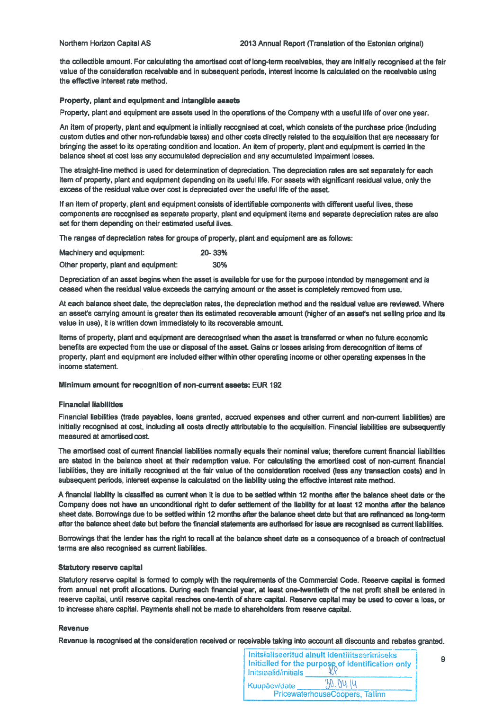the collectible amount. For calculating the amortised cost of long-term receivables, they are initially recognised at the fair value of the consideration receivable and in subsequent periods, interest income is calculated on the receivable using the effective interest rate method.

#### Property, plant and equipment and intangible assets

Property, plant and equipment are assets used in the operations of the Company with a useful life of over one year.

An item of property, plant and equipment is initially recognised at cost, which consists of the purchase price (including custom duties and other non-refundable taxes) and other costs directly related to the acquisition that are necessary for bringing the asset to its operating condition and location. An item of property, plant and equipment is carried in the balance sheet at cost less any accumulated depreciation and any accumulated impairment losses.

The straight-line method is used for determination of depredation. The depreciation rates are set separately for each item of property, plant and equipment depending on its useful life. For assets with significant residual value, only the excess of the residual value over cost is depreciated over the useful life of the asset.

If an item of property, plant and equipment consists of identifiable components with different useful lives, these components are recognised as separate property, plant and equipment items and separate depreciation rates are also set for them depending on their estimated useful lives.

The ranges of depreciation rates for groups of property, plant and equipment are as follows:

Machinery and equipment: 20-33% Other property, plant and equipment: 30%

Depreciation of an asset begins when the asset is available for use for the purpose intended by management and is ceased when the residual value exceeds the carrying amount or the asset is completely removed from use.

At each balance sheet date, the depreciation rates, the depreciation method and the residual value are reviewed. Where an asset's carrying amount is greater than its estimated recoverable amount (higher of an asset's net selling price and its value in use), it is written down immediately to its recoverable amount.

Items of properly, plant and equipment are derecognised when the asset is transferred or when no future economic benefits are expected from the use or disposal of the asset. Gains or losses arising from derecognition of items of property, plant and equipment are included either within other operating income or other operating expenses in the income statement.

Minimum amount for recognition of non-current assets: EUR 192

#### Financial liabilities

Financial liabilities (trade payables, loans granted, accrued expenses and other current and non-current liabilities) are initially recognised at cost, including all costs directly attributable to the acquisition. Financial liabilities are subsequently measured at amortised cost.

The amortised cost of current financial liabilities normally equals their nominal value; therefore current financial liabilities are stated in the balance sheet at their redemption value. For calculating the amortised cost of non-current financial liabilities, they are initially recognised at the fair value of the consideration received (less any transaction costs) and in subsequent periods, interest expense is calculated on the liability using the effective interest rate method.

A financial liability is classified as current when it is due to be settled within 12 months after the balance sheet date or the Company does not have an unconditional right to defer settlement of the liability for at least 12 months after the balance sheet date. Borrowings due to be settled within 12 months after the balance sheet date but that are refinanced as long-term after the balance sheet date but before the financial statements are authorised for issue are recognised as current liabilities.

Borrowings that the lender has the right to recall at the balance sheet date as a consequence of a breach of contractual terms are also recognised as current liabilities.

#### Statutory reserve capital

Statutory reserve capital is formed to comply with the requirements of the Commercial Code. Reserve capital is formed from annual net profit allocations. During each financial year, at least one-twentieth of the net profit shall be entered in reserve capital, until reserve capital reaches one-tenth of share capital. Reserve capital may be used to cover a loss, or to increase share capital. Payments shall not be made to shareholders from reserve capital.

#### **Revenue**

Revenue is recognised at the consideration received or receivable taking into account all discounts and rebates granted.

| 113 Annual Report (Translation of the Estonian origin                                                                                                                                                                                  |
|----------------------------------------------------------------------------------------------------------------------------------------------------------------------------------------------------------------------------------------|
| f long-term receivables, they are initially recognised<br>riods, interest income is calculated on the receivabl                                                                                                                        |
|                                                                                                                                                                                                                                        |
| ations of the Company with a useful life of over one                                                                                                                                                                                   |
| sed at cost, which consists of the purchase price (in<br>osts directly related to the acquisition that are neces<br>n item of property, plant and equipment is carried in<br>nd any accumulated impairment losses.                     |
| ciation. The depreciation rates are set separately fo<br>ful life. For assets with significant residual value, on<br>the useful life of the asset.                                                                                     |
| tifiable components with different useful lives, these<br>d equipment items and separate depreciation rates                                                                                                                            |
| int and equipment are as follows:                                                                                                                                                                                                      |
| for use for the purpose intended by management a                                                                                                                                                                                       |
| ant or the asset is completely removed from use.                                                                                                                                                                                       |
| reciation method and the residual value are reviewe<br>coverable amount (higher of an asset's net selling pr<br>ple amount.                                                                                                            |
| then the asset is transferred or when no future econ<br>. Gains or losses arising from derecognition of items<br>er operating income or other operating expenses in                                                                    |
| : EUR 192                                                                                                                                                                                                                              |
| d expenses and other current and non-current liab<br>utable to the acquisition. Financial liabilities are sut                                                                                                                          |
| quals their nominal value; therefore current financia<br>. For calculating the amortised cost of non-curren<br>he consideration received (less any transaction cos<br>ability using the effective interest rate method.                |
| be settled within 12 months after the balance sheet of<br>tiement of the liability for at least 12 months after th<br>fter the balance sheet date but that are refinanced as<br>nts are authorised for issue are recognised as current |
| ance sheet date as a consequence of a breach of c                                                                                                                                                                                      |
|                                                                                                                                                                                                                                        |
| irements of the Commercial Code. Reserve capital<br>ar, at least one-twentieth of the net profit shall be<br>hare capital. Reserve capital may be used to cover<br>areholders from reserve capital.                                    |
| eivable taking into account all discounts and rebate                                                                                                                                                                                   |
| Initsialiseeritud ainult identifitseerimiseks<br>Initialled for the purpose of identification only<br>Initsiaalid/initials                                                                                                             |
| Kuupäev/date 30.04 IV<br>PricewaterhouseCoopers, Tallinn                                                                                                                                                                               |
|                                                                                                                                                                                                                                        |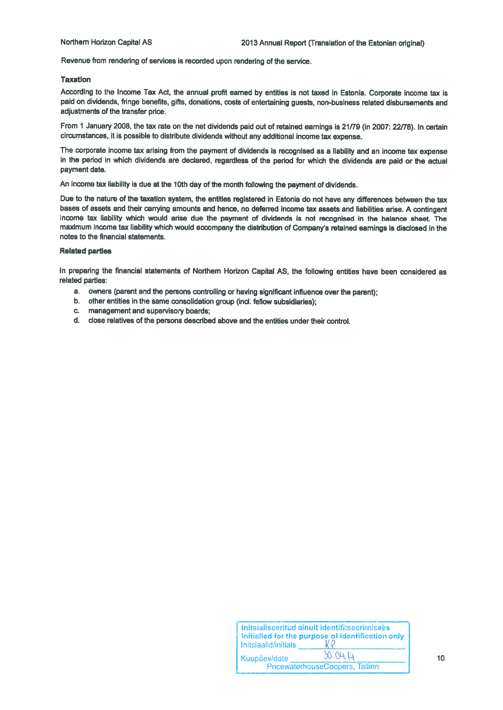Revenue from rendering of services is recorded upon rendering of the service.

#### Taxation

According to the Income Tax Act, the annual profit earned by entities is not taxed in Estonia. Corporate income tax is paid on dividends, fringe benefits, gifts, donations, costs of entertaining guests, non-business related disbursements and adjustments of the transfer price.

From 1 January 2008, the tax rate on the net dividends paid out of retained earnings is 21/79 (in 2007: 22/78). In certain circumstances, it is possible to distribute dividends without any additional income tax expense.

The corporate income tax arising from the payment of dividends is recognised as a liability and an income tax expense in the period in which dividends are declared, regardless of the period for which the dividends are paid or the actual payment date.

An income tax liability is due at the <sup>1</sup> 0th day of the month following the payment of dividends.

Due to the nature of the taxation system, the entities registered in Estonia do not have any differences between the tax bases of assets and their carrying amounts and hence, no deferred income tax assets and liabilities arise. <sup>A</sup> contingent income tax liability which would arise due the payment of dividends is not recognised in the balance sheet. The maximum income tax liability which would accompany the distribution of Company's retained earnings is disclosed in the notes to the financial statements.

#### Related parties

In preparing the financial statements of Northern Horizon Capital AS, the following entities have been considered as related parties:

- a. owners (parent and the persons controlling or having significant influence over the parent);
- b. other entities in the same consolidation group (incl. fellow subsidiaries);
- c. management and supervisory boards;
- d. close relatives of the persons described above and the entities under their control.

| Initsiaalid/initials | Initsialiseeritud ainult identifitseerimiseks<br>Initialled for the purpose of identification only |
|----------------------|----------------------------------------------------------------------------------------------------|
| Kuupäev/date         | 30.04.14<br>PricewaterhouseCoopers, Tallinn                                                        |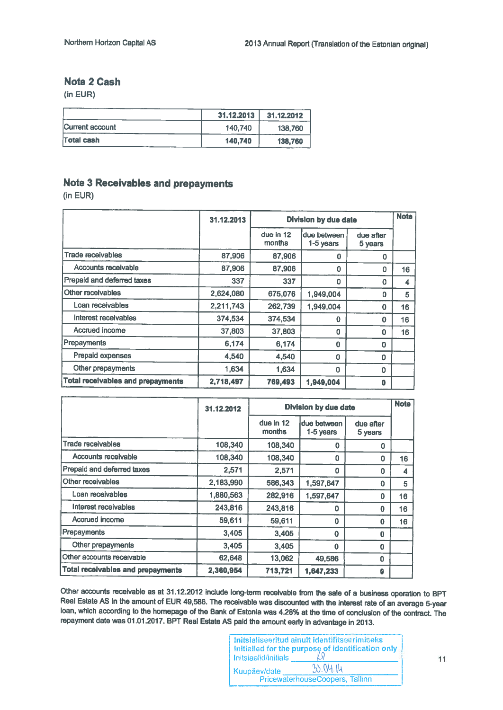### Note 2 Cash

(in EUR)

|                 | 31.12.2013 | 31.12.2012 |
|-----------------|------------|------------|
| Current account | 140,740    | 138,760    |
| Total cash      | 140,740    | 138,760    |

# Note <sup>3</sup> Receivables and prepayments

(in EUR)

|                                   | 31.12.2013 | <b>Division by due date</b> |                          |                      |    |
|-----------------------------------|------------|-----------------------------|--------------------------|----------------------|----|
|                                   |            | due in 12<br>months         | due between<br>1-5 years | due after<br>5 years |    |
| <b>Trade receivables</b>          | 87,906     | 87,906                      | 0                        | 0                    |    |
| Accounts receivable               | 87,906     | 87,906                      | $\bf{0}$                 | 0                    | 16 |
| Prepaid and deferred taxes        | 337        | 337                         | $\Omega$                 | O                    | 4  |
| Other receivables                 | 2,624,080  | 675,076                     | 1,949,004                | 0                    | 5  |
| Loan receivables                  | 2,211,743  | 262,739                     | 1,949,004                | $\mathbf 0$          | 16 |
| Interest receivables              | 374,534    | 374,534                     | $\bf{0}$                 | $\bf{0}$             | 16 |
| <b>Accrued income</b>             | 37,803     | 37,803                      | $\Omega$                 | $\mathbf 0$          | 16 |
| Prepayments                       | 6,174      | 6,174                       | $\bf{0}$                 | $\Omega$             |    |
| <b>Prepaid expenses</b>           | 4,540      | 4,540                       | 0                        | $\mathbf 0$          |    |
| Other prepayments                 | 1,634      | 1,634                       | 0                        | $\mathbf{0}$         |    |
| Total receivables and prepayments | 2,718,497  | 769,493                     | 1,949,004                | $\bullet$            |    |

|                                          | 31.12.2012 | <b>Division by due date</b> |                          |                      |    |
|------------------------------------------|------------|-----------------------------|--------------------------|----------------------|----|
|                                          |            | due in 12<br>months         | due between<br>1-5 years | due after<br>5 years |    |
| <b>Trade receivables</b>                 | 108,340    | 108,340                     | $\Omega$                 | 0                    |    |
| <b>Accounts receivable</b>               | 108,340    | 108,340                     | <sup>0</sup>             | $\Omega$             | 16 |
| Prepaid and deferred taxes               | 2,571      | 2,571                       | $\mathbf 0$              | $\mathbf{0}$         | 4  |
| Other receivables                        | 2,183,990  | 586,343                     | 1,597,647                | $\Omega$             | 5  |
| Loan receivables                         | 1,880,563  | 282,916                     | 1,597,647                | $\mathbf{0}$         | 16 |
| Interest receivables                     | 243,816    | 243,816                     | 0                        | $\Omega$             | 16 |
| Accrued income                           | 59,611     | 59,611                      | 0                        | $\bf{0}$             | 16 |
| <b>Prepayments</b>                       | 3,405      | 3,405                       | $\Omega$                 | $\bf{0}$             |    |
| Other prepayments                        | 3,405      | 3,405                       | 0                        | $\mathbf 0$          |    |
| Other accounts receivable                | 62,648     | 13,062                      | 49,586                   | 0                    |    |
| <b>Total receivables and prepayments</b> | 2,360,954  | 713,721                     | 1,647,233                | $\bullet$            |    |

Other accounts receivable as at 31.12.2012 include long-term receivable from the sale of <sup>a</sup> business operation to BPT Real Estate AS in the amount of EUR 49,586. The receivable was discounted with the interest rate of an average 5-year loan, which according to the homepage of the Bank of Estonia was 4.28% at the time of conclusion of the contract. The repayment date was 01.01.2017. BPT Real Estate AS paid the amount early In advantage in 2013.

| Initsiaalid/initials | Initsialiseeritud ainult identifitseerimiseks<br>Initialled for the purpose of identification only |
|----------------------|----------------------------------------------------------------------------------------------------|
| Kuupäev/date         | 30.0414<br>PricewaterhouseCoopers, Tallinn                                                         |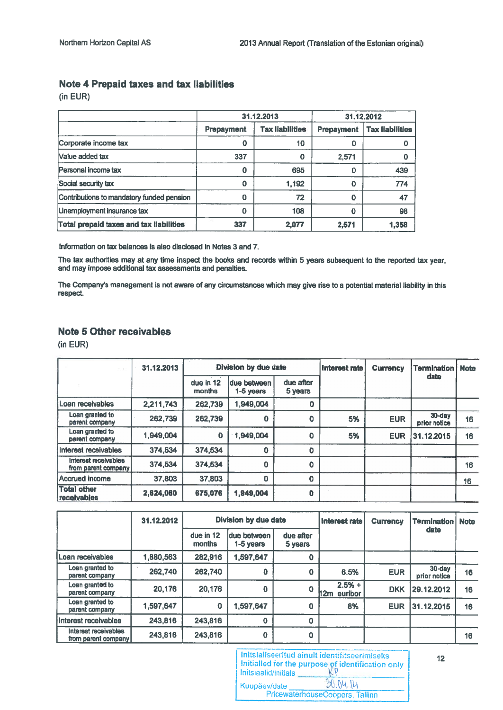## Note 4 Prepaid taxes and tax liabilities

(in EUR)

|                                           |            | 31.12.2013             | 31.12.2012        |                        |
|-------------------------------------------|------------|------------------------|-------------------|------------------------|
|                                           | Prepayment | <b>Tax liabilities</b> | <b>Prepayment</b> | <b>Tax liabilities</b> |
| Corporate income tax                      | O          | 10                     | 0                 |                        |
| <b>Value added tax</b>                    | 337        |                        | 2,571             |                        |
| Personal income tax                       | Ω          | 695                    | 0                 | 439                    |
| Social security tax                       | Ω          | 1,192                  | O                 | 774                    |
| Contributions to mandatory funded pension | 0          | 72                     | 0                 | 47                     |
| Unemployment insurance tax                | 0          | 108                    | O                 | 98                     |
| Total prepaid taxes and tax liabilities   | 337        | 2.077                  | 2,571             | 1,358                  |

Information on tax balances is also disdosed in Notes 3 and 7.

The tax authorities may at any time inspect the books and records within 5 years subsequent to the reported tax year, and may impose additional tax assessments and penalties.

The Company's management is not aware of any circumstances which may give rise to a potential material liability in this respect.

# Note 5 Other receivables

| <b>COST</b>                                 | 31.12.2013 | <b>Division by due date</b><br><b>Interest rate</b> |                          |                      |    | <b>Currency</b> | Termination               | <b>Note</b> |
|---------------------------------------------|------------|-----------------------------------------------------|--------------------------|----------------------|----|-----------------|---------------------------|-------------|
|                                             |            | due in 12<br>months                                 | due between<br>1-5 years | due after<br>5 years |    |                 | date                      |             |
| Loan receivables                            | 2,211,743  | 262,739                                             | 1,949,004                | $\mathbf 0$          |    |                 |                           |             |
| Loan granted to<br>parent company           | 262,739    | 262,739                                             | $\mathbf 0$              | $\Omega$             | 5% | <b>EUR</b>      | $30$ -day<br>prior notice | 16          |
| Loan granted to<br>parent company           | 1,949,004  | $\Omega$                                            | 1,949,004                | $\Omega$             | 5% | <b>EUR</b>      | 31.12.2015                | 16          |
| Interest receivables                        | 374,534    | 374,534                                             | $\mathbf 0$              | $\mathbf 0$          |    |                 |                           |             |
| Interest receivables<br>from parent company | 374,534    | 374,534                                             | $\mathbf{0}$             | O                    |    |                 |                           | 16          |
| Accrued income                              | 37,803     | 37,803                                              | $\Omega$                 | $\Omega$             |    |                 |                           | 16          |
| <b>Total other</b><br>receivables           | 2,624,080  | 675,076                                             | 1,949,004                | 0                    |    |                 |                           |             |

|                                             | 31.12.2012 | <b>Division by due date</b> |                           | <b>Interest rate</b> | <b>Currency</b>            | <b>Termination</b> | <b>Note</b>               |    |
|---------------------------------------------|------------|-----------------------------|---------------------------|----------------------|----------------------------|--------------------|---------------------------|----|
|                                             |            | due in 12<br>months         | ldue between<br>1-5 years | due after<br>5 years |                            |                    | date                      |    |
| Loan receivables                            | 1,880,563  | 282,916                     | 1,597,647                 |                      |                            |                    |                           |    |
| Loan granted to<br>parent company           | 262,740    | 262,740                     | $\mathbf 0$               | $\mathbf 0$          | 6.5%                       | <b>EUR</b>         | $30$ -day<br>prior notice | 16 |
| Loan granted to<br>parent company           | 20,176     | 20,176                      | $\mathbf 0$               | $\mathbf 0$          | $2.5% +$<br>12m<br>euribor | <b>DKK</b>         | 29.12.2012                | 16 |
| Loan granted to<br>parent company           | 1,597,647  | $\mathbf 0$                 | 1,597,647                 | $\mathbf 0$          | 8%                         | <b>EUR</b>         | 31.12.2015                | 16 |
| Interest receivables                        | 243,816    | 243,816                     | $\mathbf 0$               | 0                    |                            |                    |                           |    |
| Interest receivables<br>from parent company | 243,816    | 243,816                     | $\Omega$                  | O                    |                            |                    |                           | 16 |

| Initsiaalid/initials | Initsialiseeritud ainult identifitseerimiseks<br>Initialled for the purpose of identification only | 12 <sub>1</sub> |
|----------------------|----------------------------------------------------------------------------------------------------|-----------------|
| Kuupäev/date         | 30.04 ILI                                                                                          |                 |
|                      | PricewaterhouseCoopers, Tallinn                                                                    |                 |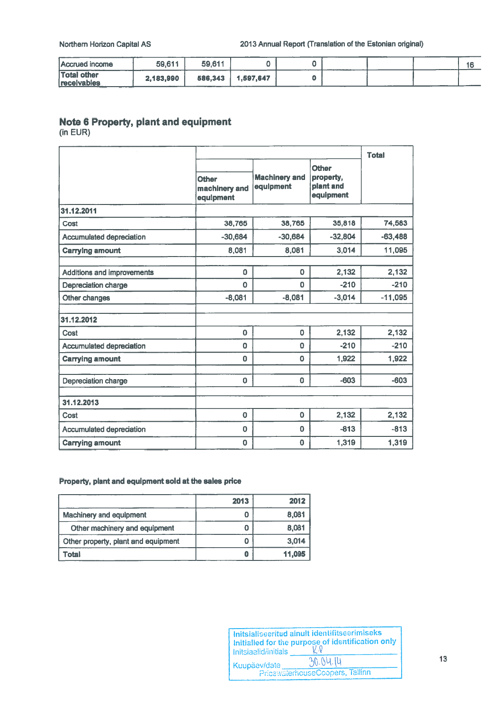| Accrued income             | 59,611    | 59.611  |           |  |  |  |
|----------------------------|-----------|---------|-----------|--|--|--|
| Total other<br>receivables | 2,183,990 | 586,343 | 1,597,647 |  |  |  |

# Note 6 Property, plant and equipment

(in EUR)

|                                   | <b>Other</b><br>machinery and<br>equipment | <b>Machinery and</b><br>equipment | <b>Other</b><br>property,<br>plant and<br>equipment |           |  |  |  |
|-----------------------------------|--------------------------------------------|-----------------------------------|-----------------------------------------------------|-----------|--|--|--|
| 31.12.2011                        |                                            |                                   |                                                     |           |  |  |  |
| Cost                              | 38,765                                     | 38,765                            | 35,818                                              | 74,583    |  |  |  |
| <b>Accumulated depreciation</b>   | $-30.684$                                  | $-30,684$                         | $-32,804$                                           | $-63,488$ |  |  |  |
| <b>Carrying amount</b>            | 8,081                                      | 8,081                             | 3,014                                               | 11,095    |  |  |  |
|                                   |                                            |                                   |                                                     |           |  |  |  |
| <b>Additions and improvements</b> | 0                                          | $\mathbf 0$                       | 2,132                                               | 2,132     |  |  |  |
| Depreciation charge               | $\overline{O}$                             | $\Omega$                          | $-210$                                              | $-210$    |  |  |  |
| <b>Other changes</b>              | $-8,081$                                   | $-8,081$                          | $-3,014$                                            | $-11,095$ |  |  |  |
| 31.12.2012                        |                                            |                                   |                                                     |           |  |  |  |
| Cost                              | $\mathbf 0$                                | 0                                 | 2,132                                               | 2,132     |  |  |  |
| <b>Accumulated depreciation</b>   | 0                                          | $\Omega$                          | $-210$                                              | $-210$    |  |  |  |
| <b>Carrying amount</b>            | 0                                          | $\Omega$                          | 1,922                                               | 1,922     |  |  |  |
| Depreciation charge               | 0                                          | $\mathbf 0$                       | $-603$                                              | $-603$    |  |  |  |
| 31.12.2013                        |                                            |                                   |                                                     |           |  |  |  |
| Cost                              | 0                                          | $\Omega$                          | 2,132                                               | 2,132     |  |  |  |
| Accumulated depreciation          | $\Omega$                                   | $\Omega$                          | $-813$                                              | $-813$    |  |  |  |
| <b>Carrying amount</b>            | 0                                          | $\Omega$                          | 1,319                                               | 1,319     |  |  |  |

#### Property, plant and equipment sold at the sales price

|                                     | 2013 | 2012   |
|-------------------------------------|------|--------|
| <b>Machinery and equipment</b>      | O    | 8,081  |
| Other machinery and equipment       | O    | 8,081  |
| Other property, plant and equipment | O    | 3,014  |
| <b>Total</b>                        | 0    | 11,095 |

| Initsiaalid/initials | Initsialiseeritud ainult identifitseerimiseks<br>Initialled for the purpose of identification only |
|----------------------|----------------------------------------------------------------------------------------------------|
| Kuupäev/date         | 30.04.14<br>PricewaterhouseCoopers, Tallinn                                                        |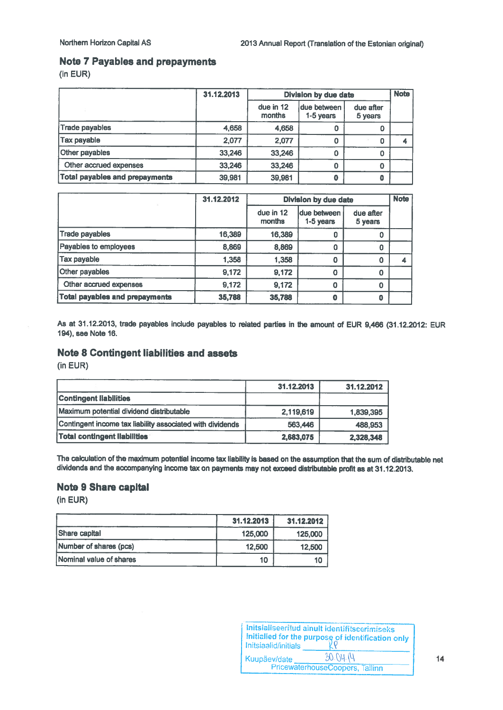## Note 7 Payables and prepayments

|                                | 31.12.2013 | <b>Division by due date</b> |                          |                      |  |
|--------------------------------|------------|-----------------------------|--------------------------|----------------------|--|
|                                |            | due in 12<br>months         | due between<br>1-5 years | due after<br>5 years |  |
| Trade payables                 | 4,658      | 4,658                       | 0                        |                      |  |
| Tax payable                    | 2,077      | 2,077                       | 0                        | 0                    |  |
| Other payables                 | 33,246     | 33,246                      | O                        | 0                    |  |
| Other accrued expenses         | 33,246     | 33,246                      | 0                        | 0                    |  |
| Total payables and prepayments | 39,981     | 39,981                      | a                        | o                    |  |

| Northern Horizon Capital AS                                                                                                                                                                                                                                                                                                                                                                                                                                                                                                          |            |                     |                          | 2013 Annual Report (Translation of the Estonian original) |                         |
|--------------------------------------------------------------------------------------------------------------------------------------------------------------------------------------------------------------------------------------------------------------------------------------------------------------------------------------------------------------------------------------------------------------------------------------------------------------------------------------------------------------------------------------|------------|---------------------|--------------------------|-----------------------------------------------------------|-------------------------|
| <b>Note 7 Payables and prepayments</b>                                                                                                                                                                                                                                                                                                                                                                                                                                                                                               |            |                     |                          |                                                           |                         |
| (in EUR)                                                                                                                                                                                                                                                                                                                                                                                                                                                                                                                             |            |                     |                          |                                                           |                         |
|                                                                                                                                                                                                                                                                                                                                                                                                                                                                                                                                      | 31.12.2013 |                     | Division by due date     |                                                           | <b>Note</b>             |
|                                                                                                                                                                                                                                                                                                                                                                                                                                                                                                                                      |            | due in 12<br>months | due between<br>1-5 years | due after<br>5 years                                      |                         |
| <b>Trade payables</b>                                                                                                                                                                                                                                                                                                                                                                                                                                                                                                                | 4,658      | 4,658               | 0                        | 0                                                         |                         |
| Tax payable                                                                                                                                                                                                                                                                                                                                                                                                                                                                                                                          | 2,077      | 2,077               | 0                        | 0                                                         | $\overline{\mathbf{4}}$ |
| Other payables                                                                                                                                                                                                                                                                                                                                                                                                                                                                                                                       | 33,246     | 33,246              | $\Omega$                 | 0                                                         |                         |
| Other accrued expenses                                                                                                                                                                                                                                                                                                                                                                                                                                                                                                               | 33,246     | 33,246              | $\mathbf 0$              | $\bf{0}$                                                  |                         |
| <b>Total payables and prepayments</b>                                                                                                                                                                                                                                                                                                                                                                                                                                                                                                | 39,981     | 39,981              | $\bullet$                | 0                                                         |                         |
|                                                                                                                                                                                                                                                                                                                                                                                                                                                                                                                                      | 31.12.2012 |                     | Division by due date     |                                                           | <b>Note</b>             |
|                                                                                                                                                                                                                                                                                                                                                                                                                                                                                                                                      |            | due in 12<br>months | due between<br>1-5 years | due after<br>5 years                                      |                         |
|                                                                                                                                                                                                                                                                                                                                                                                                                                                                                                                                      | 16,389     | 16,389              | 0                        | $\mathbf 0$                                               |                         |
|                                                                                                                                                                                                                                                                                                                                                                                                                                                                                                                                      |            |                     | 0                        | 0                                                         |                         |
|                                                                                                                                                                                                                                                                                                                                                                                                                                                                                                                                      | 8,869      | 8.869               |                          |                                                           |                         |
|                                                                                                                                                                                                                                                                                                                                                                                                                                                                                                                                      | 1,358      | 1,358               | 0                        | $\mathbf 0$                                               | 4                       |
|                                                                                                                                                                                                                                                                                                                                                                                                                                                                                                                                      | 9,172      | 9,172               | O                        | 0                                                         |                         |
| Other accrued expenses                                                                                                                                                                                                                                                                                                                                                                                                                                                                                                               | 9,172      | 9,172               | 0                        | 0                                                         |                         |
| <b>Trade payables</b><br>Payables to employees<br>Tax payable<br>Other payables<br><b>Total payables and prepayments</b><br>As at 31.12.2013, trade payables include payables to related parties in the amount of EUR 9,466 (31.12.2012: EUR<br>194), see Note 16.                                                                                                                                                                                                                                                                   | 35,788     | 35,788              | $\bullet$                | 0                                                         |                         |
|                                                                                                                                                                                                                                                                                                                                                                                                                                                                                                                                      |            |                     |                          |                                                           |                         |
|                                                                                                                                                                                                                                                                                                                                                                                                                                                                                                                                      |            |                     | 31.12.2013               | 31.12.2012                                                |                         |
|                                                                                                                                                                                                                                                                                                                                                                                                                                                                                                                                      |            |                     |                          |                                                           |                         |
|                                                                                                                                                                                                                                                                                                                                                                                                                                                                                                                                      |            |                     | 2,119,619                | 1,839,395                                                 |                         |
|                                                                                                                                                                                                                                                                                                                                                                                                                                                                                                                                      |            |                     | 563,446<br>2,683,075     | 488,953<br>2,328,348                                      |                         |
| <b>Note 8 Contingent liabilities and assets</b><br>(in EUR)<br><b>Contingent liabilities</b><br>Maximum potential dividend distributable<br>Contingent income tax liability associated with dividends<br><b>Total contingent liabilities</b><br>The calculation of the maximum potential income tax liability is based on the assumption that the sum of distributable net<br>dividends and the accompanying income tax on payments may not exceed distributable profit as at 31.12.2013.<br><b>Note 9 Share capital</b><br>(in EUR) |            |                     |                          |                                                           |                         |
|                                                                                                                                                                                                                                                                                                                                                                                                                                                                                                                                      |            | 31.12.2013          | 31.12.2012               |                                                           |                         |
| Share capital                                                                                                                                                                                                                                                                                                                                                                                                                                                                                                                        |            | 125,000             | 125,000                  |                                                           |                         |
| Number of shares (pcs)                                                                                                                                                                                                                                                                                                                                                                                                                                                                                                               |            | 12,500              | 12,500                   |                                                           |                         |

### Note 8 Contingent liabilities and assets

|                                                           | 31.12.2013 | 31.12.2012 |
|-----------------------------------------------------------|------------|------------|
| <b>Contingent liabilities</b>                             |            |            |
| Maximum potential dividend distributable                  | 2,119,619  | 1,839,395  |
| Contingent income tax liability associated with dividends | 563,446    | 488,953    |
| <b>Total contingent liabilities</b>                       | 2,683,075  | 2,328,348  |

## Note 9 Share capital

|                         | 31.12.2013 | 31.12.2012 |
|-------------------------|------------|------------|
| Share capital           | 125,000    | 125,000    |
| Number of shares (pcs)  | 12,500     | 12,500     |
| Nominal value of shares | 10         | 10         |

| Initsiaalid/initials | Initsialiseeri!ud ainult identifitscerimiseks<br>Initialied for the purpose of identification only |
|----------------------|----------------------------------------------------------------------------------------------------|
| Kuupäev/date         | 30 CM 14                                                                                           |
|                      | PricewaterhouseCoopers, Tallinn                                                                    |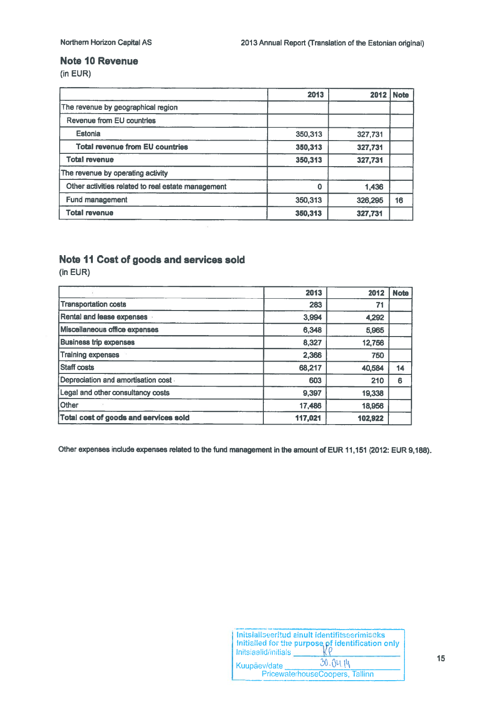### Note 10 Revenue

(in EUR)

|                                                    | 2013    | 2012    | <b>Note</b> |
|----------------------------------------------------|---------|---------|-------------|
| The revenue by geographical region                 |         |         |             |
| Revenue from EU countries                          |         |         |             |
| Estonia                                            | 350,313 | 327,731 |             |
| <b>Total revenue from EU countries</b>             | 350,313 | 327,731 |             |
| <b>Total revenue</b>                               | 350,313 | 327,731 |             |
| The revenue by operating activity                  |         |         |             |
| Other activities related to real estate management | 0       | 1,436   |             |
| <b>Fund management</b>                             | 350,313 | 326,295 | 16          |
| <b>Total revenue</b>                               | 350,313 | 327,731 |             |

# Note 11 Cost of goods and services sold

(in EUR)

|                                       | 2013    | 2012    | <b>Note</b> |
|---------------------------------------|---------|---------|-------------|
| <b>Transportation costs</b>           | 283     | 71      |             |
| Rental and lease expenses             | 3,994   | 4,292   |             |
| Miscellaneous office expenses         | 6,348   | 5,965   |             |
| <b>Business trip expenses</b>         | 8,327   | 12,756  |             |
| <b>Training expenses</b>              | 2,366   | 750     |             |
| Staff costs                           | 68,217  | 40.584  | 14          |
| Depreciation and amortisation cost    | 603     | 210     | 6           |
| Legal and other consultancy costs     | 9,397   | 19,338  |             |
| lOther                                | 17.486  | 18,956  |             |
| Total cost of goods and services sold | 117,021 | 102,922 |             |

Other expenses include expenses related to the fund management in the amount of EUR 11,151(2012: EUR 9,168).

| Initsiaalid/initials            | Initsialiseeritud ainult identifitseerimiseks<br>Initialled for the purpose of identification only |  |  |
|---------------------------------|----------------------------------------------------------------------------------------------------|--|--|
| Kuupäev/date                    | 30.04.14                                                                                           |  |  |
| PricewaterhouseCoopers, Tallinn |                                                                                                    |  |  |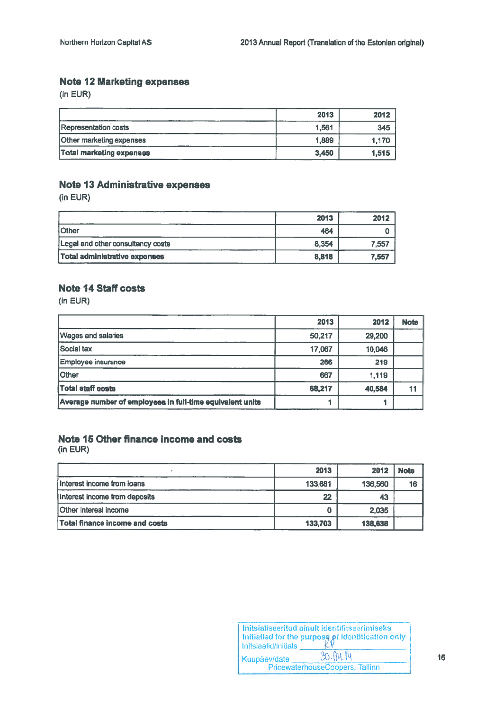## Note 12 Marketing expenses

 $(in EUR)$ 

|                                 | 2013  | 2012  |
|---------------------------------|-------|-------|
| Representation costs            | 1.561 | 345   |
| Other marketing expenses        | 1.889 | 1.170 |
| <b>Total marketing expenses</b> | 3,450 | 1.515 |

# Note 13 Administrative expenses

(in EUR)

|                                   | 2013  | 2012  |
|-----------------------------------|-------|-------|
| <b>Other</b>                      | 464   |       |
| Legal and other consultancy costs | 8.354 | 7,557 |
| Total administrative expenses     | 8.818 | 7.557 |

### Note 14 Staff costs

(in EUR)

|                                                           | 2013   | 2012   | <b>Note</b> |
|-----------------------------------------------------------|--------|--------|-------------|
| <b>Wages and salaries</b>                                 | 50,217 | 29,200 |             |
| <b>Social tax</b>                                         | 17,067 | 10,046 |             |
| <b>Employee insurance</b>                                 | 266    | 219    |             |
| <b>Other</b>                                              | 667    | 1,119  |             |
| <b>Total staff costs</b>                                  | 68,217 | 40,584 |             |
| Average number of employees in full-time equivalent units |        |        |             |

## Note 15 Other finance income and costs

|                                | 2013    | 2012    | <b>Note</b> |
|--------------------------------|---------|---------|-------------|
| Interest income from loans     | 133,681 | 136,560 | 16          |
| Interest income from deposits  | 22      | 43      |             |
| Other interest income          |         | 2.035   |             |
| Total finance income and costs | 133,703 | 138,638 |             |

|                      | Initsialiseeritud amult identifitseerimiseks<br>Initialled for the purpose of identification only |
|----------------------|---------------------------------------------------------------------------------------------------|
| Initsiaalid/initials |                                                                                                   |
| Kuupäev/date         | 30.14.14                                                                                          |
|                      | PricewaterhouseCoopers, Tallinn                                                                   |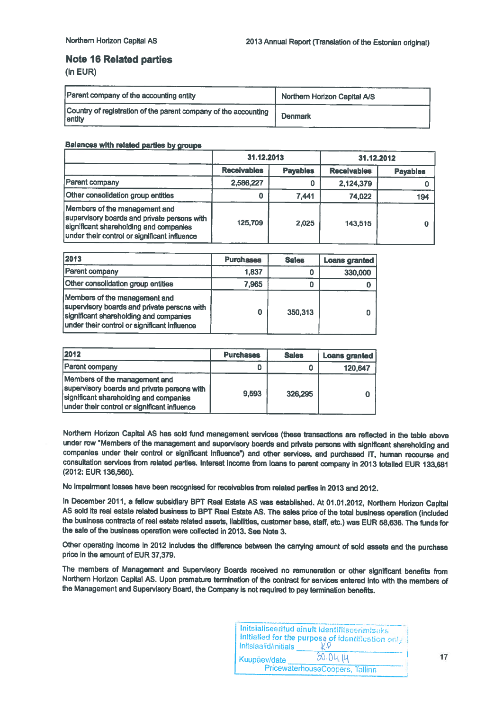### Note <sup>16</sup> Related parties

(in EUR)

| Parent company of the accounting entity                                    | Northern Horizon Capital A/S |
|----------------------------------------------------------------------------|------------------------------|
| Country of registration of the parent company of the accounting<br>lentity | <b>Denmark</b>               |

### Balances with related patties by groups

|                                                                                                                                                                        | 31.12.2013         |                 | 31.12.2012         |                 |
|------------------------------------------------------------------------------------------------------------------------------------------------------------------------|--------------------|-----------------|--------------------|-----------------|
|                                                                                                                                                                        | <b>Receivables</b> | <b>Payables</b> | <b>Receivables</b> | <b>Payables</b> |
| Parent company                                                                                                                                                         | 2,586,227          |                 | 2,124,379          |                 |
| Other consolidation group entities                                                                                                                                     |                    | 7,441           | 74,022             | 194             |
| Members of the management and<br>supervisory boards and private persons with<br>significant shareholding and companies<br>under their control or significant influence | 125,709            | 2,025           | 143,515            |                 |

| 2013                                                                                                                                                                   | <b>Purchases</b> | <b>Sales</b> | <b>Loans granted</b> |
|------------------------------------------------------------------------------------------------------------------------------------------------------------------------|------------------|--------------|----------------------|
| Parent company                                                                                                                                                         | 1.837            |              | 330,000              |
| Other consolidation group entities                                                                                                                                     | 7,965            |              |                      |
| Members of the management and<br>supervisory boards and private persons with<br>significant shareholding and companies<br>under their control or significant influence |                  | 350,313      |                      |

| 2012                                                                                                                                                                   | <b>Purchases</b> | <b>Sales</b> | <b>Loans granted</b> |
|------------------------------------------------------------------------------------------------------------------------------------------------------------------------|------------------|--------------|----------------------|
| Parent company                                                                                                                                                         |                  |              | 120,647              |
| Members of the management and<br>supervisory boards and private persons with<br>significant shareholding and companies<br>under their control or significant influence | 9,593            | 326,295      |                      |

Northern Horizon Capital AS has sold fund management services (these transactions are reflected in the table above under row "Members of the management and supervisory boards and private persons with significant shareholding and companies under their control or significant influence") and other services, and purchased IT, human recourse and consultation services from related parties. Interest income from loans to parent company In <sup>2013</sup> totalled EUR 133,681 (2012: EUR 136,560).

No impairment losses have been recognised for receivables from related parties in 2013 and 2012.

In December 2011, a fellow subsidiary BPT Real Estate AS was established. At 01.01.2012, Northern Horizon Capital AS sold its real estate related business to BPT Real Estate AS. The sales price of the total business operation (included the business contracts of real estate related assets, liabilities, customer base, staff, etc.) was EUR 58,636. The funds for the sale of the business operation were collected in 2013. See Note 3.

Other operating Income in <sup>2012</sup> Includes the difference between the carrying amount of sold assets and the purchase price in the amount of EUR 37,379.

The members of Management and Supervisory Boards received no remuneration or other significant benefits from Northern Horizon Capital AS. Upon premature termination of the contract for services entered into with the members of the Management and Supervisory Board, the Company is not required to pay termination benefits.

| Initsiaalid/initials | Initsialiseeritud ainult identifitsperimiseks<br>Initialled for the purpose of identification only |  |
|----------------------|----------------------------------------------------------------------------------------------------|--|
| Kuupäev/date         | 30.0414                                                                                            |  |
|                      | PricewaterhouseCoopers, Tallinn                                                                    |  |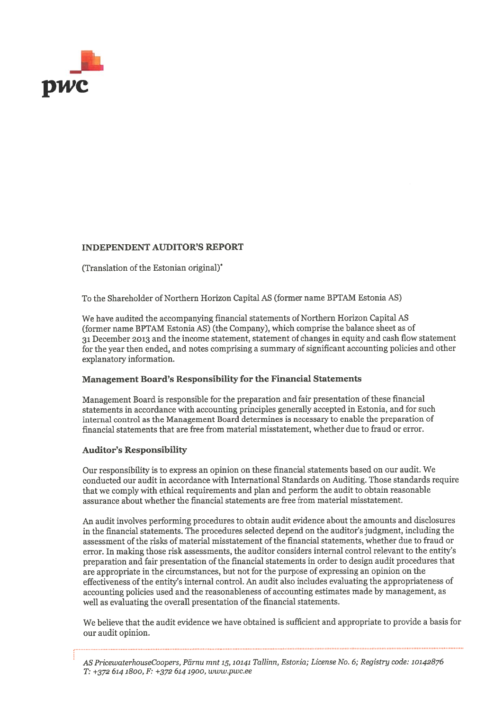

### INDEPENDENT AUDITOR'S REPORT

(Translation of the Estonian original)\*

To the Shareholder of Northern Horizon Capital AS (former name BPTAM Estonia AS)

We have audited the accompanying financial statements of Northern Horizon Capital AS (former name BPTAM Estonia AS) (the Company), which comprise the balance sheet as of 31 December 2013 and the income statement, statement of changes in equity and cash flow statement for the year then ended, and notes comprising a summary of significant accounting policies and other explanatory information.

### Management Board's Responsibility for the Financial Statements

Management Board is responsible for the preparation and fair presentation of these financial statements in accordance with accounting principles generally accepted in Estonia, and for such internal control as the Management Board determines is necessary to enable the preparation of financial statements that are free from material misstatement, whether due to fraud or error.

### Auditor's Responsibility

Our responsibility is to express an opinion on these financial statements based on our audit. We conducted our audit in accordance with International Standards on Auditing. Those standards require that we comply with ethical requirements and plan and perform the audit to obtain reasonable assurance about whether the financial statements are free from material misstatement.

An audit involves performing procedures to obtain audit evidence about the amounts and disclosures in the financial statements. The procedures selected depend on the auditor's judgment, including the assessment of the risks of material misstatement of the financial statements, whether due to fraud or error. In making those risk assessments, the auditor considers internal control relevant to the entity's preparation and fair presentation of the financial statements in order to design audit procedures that are appropriate in the circumstances, but not for the purpose of expressing an opinion on the effectiveness of the entity's internal control. An audit also includes evaluating the appropriateness of accounting policies used and the reasonableness of accounting estimates made by management, as well as evaluating the overall presentation of the financial statements.

We believe that the audit evidence we have obtained is sufficient and appropriate to provide a basis for our audit opinion.

AS PricewaterhouseCoopers, Pärnu runt 15, 10141 Tallinu, Estonia; License No. 6; Registry code: 10142876 T: +372 614 i8oo, F: +372 614 1900, www.pwc.ee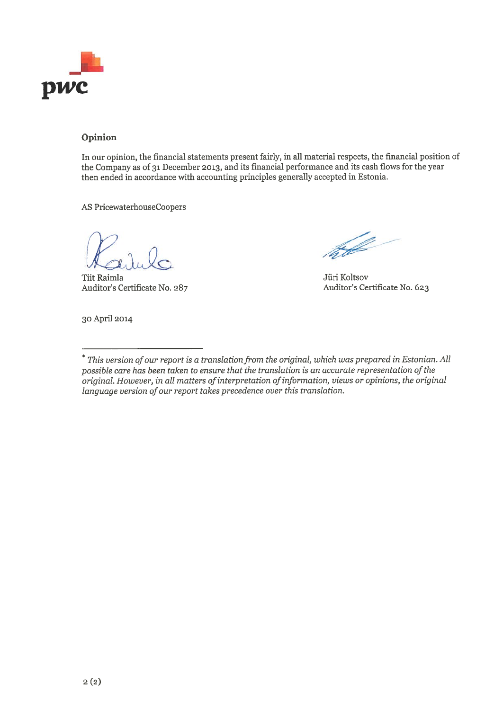

### Opinion

In our opinion, the financial statements present fairly, in all material respects, the financial position of the Company as of 31 December 2013, and its financial performance and its cash flows for the year then ended in accordance with accounting principles generally accepted in Estonia.

AS PricewaterhouseCoopers

Karulo

Tiit Raimla<br>Auditor's Certificate No. 287

tall

Jüri Koltsov Auditor's Certificate No. 623

30 April 2014

 $^\ast$  This version of our report is a translation from the original, which was prepared in Estonian. All possible care has been taken to ensure that the translation is an accurate representation of the original. However, in all matters of interpretation of information, views or opinions, the original language version of our report takes precedence over this translation.